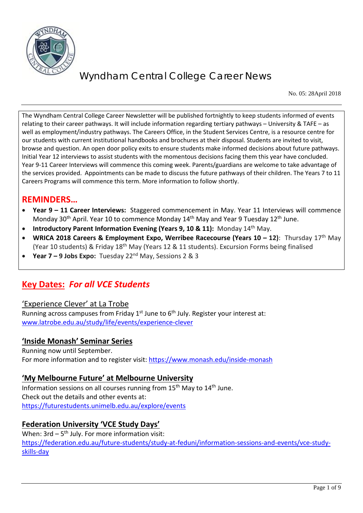

No. 05: 28April 2018

The Wyndham Central College Career Newsletter will be published fortnightly to keep students informed of events relating to their career pathways. It will include information regarding tertiary pathways – University & TAFE – as well as employment/industry pathways. The Careers Office, in the Student Services Centre, is a resource centre for our students with current institutional handbooks and brochures at their disposal. Students are invited to visit, browse and question. An open door policy exits to ensure students make informed decisions about future pathways. Initial Year 12 interviews to assist students with the momentous decisions facing them this year have concluded. Year 9-11 Career Interviews will commence this coming week. Parents/guardians are welcome to take advantage of the services provided. Appointments can be made to discuss the future pathways of their children. The Years 7 to 11 Careers Programs will commence this term. More information to follow shortly.

## **REMINDERS…**

- **Year 9 – 11 Career Interviews:** Staggered commencement in May. Year 11 Interviews will commence Monday 30<sup>th</sup> April. Year 10 to commence Monday 14<sup>th</sup> May and Year 9 Tuesday 12<sup>th</sup> June.
- **Introductory Parent Information Evening (Years 9, 10 & 11):** Monday 14<sup>th</sup> May.
- **WRICA 2018 Careers & Employment Expo, Werribee Racecourse (Years 10 – 12)**: Thursday 17th May (Year 10 students) & Friday 18th May (Years 12 & 11 students). Excursion Forms being finalised
- **Year 7 – 9 Jobs Expo:** Tuesday 22nd May, Sessions 2 & 3

# **Key Dates:** *For all VCE Students*

#### 'Experience Clever' at La Trobe

Running across campuses from Friday  $1^{st}$  June to  $6^{th}$  July. Register your interest at: [www.latrobe.edu.au/study/life/events/experience-clever](http://www.latrobe.edu.au/study/life/events/experience-clever) 

### **'Inside Monash' Seminar Series**

Running now until September. For more information and to register visit:<https://www.monash.edu/inside-monash>

#### **'My Melbourne Future' at Melbourne University**

Information sessions on all courses running from 15<sup>th</sup> May to 14<sup>th</sup> June. Check out the details and other events at: <https://futurestudents.unimelb.edu.au/explore/events>

### **Federation University 'VCE Study Days'**

When:  $3rd - 5<sup>th</sup>$  July. For more information visit: [https://federation.edu.au/future-students/study-at-feduni/information-sessions-and-events/vce-study](https://federation.edu.au/future-students/study-at-feduni/information-sessions-and-events/vce-study-skills-day)[skills-day](https://federation.edu.au/future-students/study-at-feduni/information-sessions-and-events/vce-study-skills-day)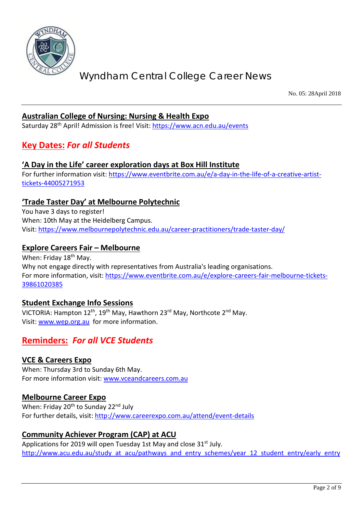

No. 05: 28April 2018

#### **Australian College of Nursing: Nursing & Health Expo**

Saturday 28th April! Admission is free! Visit:<https://www.acn.edu.au/events>

## **Key Dates:** *For all Students*

#### **'A Day in the Life' career exploration days at Box Hill Institute**

For further information visit: [https://www.eventbrite.com.au/e/a-day-in-the-life-of-a-creative-artist](https://www.eventbrite.com.au/e/a-day-in-the-life-of-a-creative-artist-tickets-44005271953)[tickets-44005271953](https://www.eventbrite.com.au/e/a-day-in-the-life-of-a-creative-artist-tickets-44005271953)

#### **'Trade Taster Day' at Melbourne Polytechnic**

You have 3 days to register! When: 10th May at the Heidelberg Campus. Visit: <https://www.melbournepolytechnic.edu.au/career-practitioners/trade-taster-day/>

#### **Explore Careers Fair – Melbourne**

When: Friday 18<sup>th</sup> May. Why not engage directly with representatives from Australia's leading organisations. For more information, visit: [https://www.eventbrite.com.au/e/explore-careers-fair-melbourne-tickets-](https://www.eventbrite.com.au/e/explore-careers-fair-melbourne-tickets-39861020385)[39861020385](https://www.eventbrite.com.au/e/explore-careers-fair-melbourne-tickets-39861020385)

#### **Student Exchange Info Sessions**

VICTORIA: Hampton 12th, 19th May, Hawthorn 23rd May, Northcote 2nd May. Visit: [www.wep.org.au](http://www.wep.org.au/) for more information.

## **Reminders:** *For all VCE Students*

#### **VCE & Careers Expo**

When: Thursday 3rd to Sunday 6th May. For more information visit: [www.vceandcareers.com.au](http://www.vceandcareers.com.au/)

#### **Melbourne Career Expo**

When: Friday 20<sup>th</sup> to Sunday 22<sup>nd</sup> July For further details, visit:<http://www.careerexpo.com.au/attend/event-details>

### **Community Achiever Program (CAP) at ACU**

Applications for 2019 will open Tuesday 1st May and close 31<sup>st</sup> July. [http://www.acu.edu.au/study\\_at\\_acu/pathways\\_and\\_entry\\_schemes/year\\_12\\_student\\_entry/early\\_entry](http://www.acu.edu.au/study_at_acu/pathways_and_entry_schemes/year_12_student_entry/early_entry)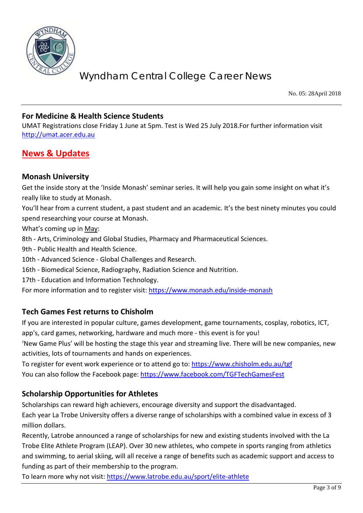

No. 05: 28April 2018

#### **For Medicine & Health Science Students**

UMAT Registrations close Friday 1 June at 5pm. Test is Wed 25 July 2018.For further information visit [http://umat.acer.edu.au](http://umat.acer.edu.au/)

## **News & Updates**

#### **Monash University**

Get the inside story at the 'Inside Monash' seminar series. It will help you gain some insight on what it's really like to study at Monash.

You'll hear from a current student, a past student and an academic. It's the best ninety minutes you could spend researching your course at Monash.

What's coming up in May:

8th - Arts, Criminology and Global Studies, Pharmacy and Pharmaceutical Sciences.

9th - Public Health and Health Science.

10th - Advanced Science - Global Challenges and Research.

16th - Biomedical Science, Radiography, Radiation Science and Nutrition.

17th - Education and Information Technology.

For more information and to register visit: <https://www.monash.edu/inside-monash>

### **Tech Games Fest returns to Chisholm**

If you are interested in popular culture, games development, game tournaments, cosplay, robotics, ICT, app's, card games, networking, hardware and much more - this event is for you!

'New Game Plus' will be hosting the stage this year and streaming live. There will be new companies, new activities, lots of tournaments and hands on experiences.

To register for event work experience or to attend go to:<https://www.chisholm.edu.au/tgf> You can also follow the Facebook page:<https://www.facebook.com/TGFTechGamesFest>

### **Scholarship Opportunities for Athletes**

Scholarships can reward high achievers, encourage diversity and support the disadvantaged.

Each year La Trobe University offers a diverse range of scholarships with a combined value in excess of 3 million dollars.

Recently, Latrobe announced a range of scholarships for new and existing students involved with the La Trobe Elite Athlete Program (LEAP). Over 30 new athletes, who compete in sports ranging from athletics and swimming, to aerial skiing, will all receive a range of benefits such as academic support and access to funding as part of their membership to the program.

To learn more why not visit:<https://www.latrobe.edu.au/sport/elite-athlete>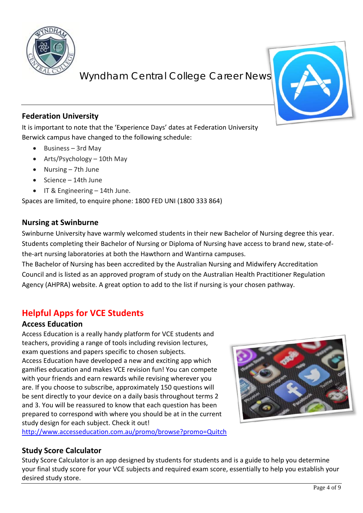

## **Federation University**

It is important to note that the 'Experience Days' dates at Federation University Berwick campus have changed to the following schedule:

- Business 3rd May
- Arts/Psychology 10th May
- Nursing 7th June
- Science 14th June
- IT & Engineering 14th June.

Spaces are limited, to enquire phone: 1800 FED UNI (1800 333 864)

#### **Nursing at Swinburne**

Swinburne University have warmly welcomed students in their new Bachelor of Nursing degree this year. Students completing their Bachelor of Nursing or Diploma of Nursing have access to brand new, state-ofthe-art nursing laboratories at both the Hawthorn and Wantirna campuses.

The Bachelor of Nursing has been accredited by the Australian Nursing and Midwifery Accreditation Council and is listed as an approved program of study on the Australian Health Practitioner Regulation Agency (AHPRA) website. A great option to add to the list if nursing is your chosen pathway.

# **Helpful Apps for VCE Students**

### **Access Education**

Access Education is a really handy platform for VCE students and teachers, providing a range of tools including revision lectures, exam questions and papers specific to chosen subjects. Access Education have developed a new and exciting app which gamifies education and makes VCE revision fun! You can compete with your friends and earn rewards while revising wherever you are. If you choose to subscribe, approximately 150 questions will be sent directly to your device on a daily basis throughout terms 2 and 3. You will be reassured to know that each question has been prepared to correspond with where you should be at in the current study design for each subject. Check it out!

<http://www.accesseducation.com.au/promo/browse?promo=Quitch>

## **Study Score Calculator**

Study Score Calculator is an app designed by students for students and is a guide to help you determine your final study score for your VCE subjects and required exam score, essentially to help you establish your desired study store.

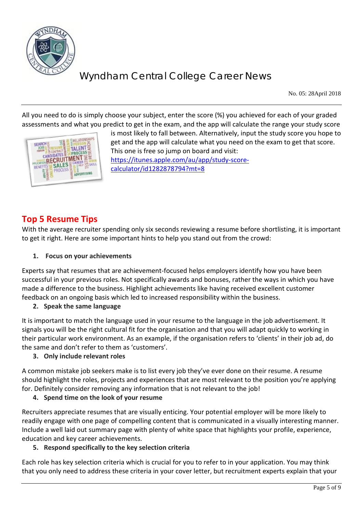

No. 05: 28April 2018

All you need to do is simply choose your subject, enter the score (%) you achieved for each of your graded assessments and what you predict to get in the exam, and the app will calculate the range your study score



is most likely to fall between. Alternatively, input the study score you hope to get and the app will calculate what you need on the exam to get that score. This one is free so jump on board and visit: [https://itunes.apple.com/au/app/study-score](https://itunes.apple.com/au/app/study-score-calculator/id1282878794?mt=8)[calculator/id1282878794?mt=8](https://itunes.apple.com/au/app/study-score-calculator/id1282878794?mt=8)

## **Top 5 Resume Tips**

With the average recruiter spending only six seconds reviewing a resume before shortlisting, it is important to get it right. Here are some important hints to help you stand out from the crowd:

#### **1. Focus on your achievements**

Experts say that resumes that are achievement-focused helps employers identify how you have been successful in your previous roles. Not specifically awards and bonuses, rather the ways in which you have made a difference to the business. Highlight achievements like having received excellent customer feedback on an ongoing basis which led to increased responsibility within the business.

#### **2. Speak the same language**

It is important to match the language used in your resume to the language in the job advertisement. It signals you will be the right cultural fit for the organisation and that you will adapt quickly to working in their particular work environment. As an example, if the organisation refers to 'clients' in their job ad, do the same and don't refer to them as 'customers'.

#### **3. Only include relevant roles**

A common mistake job seekers make is to list every job they've ever done on their resume. A resume should highlight the roles, projects and experiences that are most relevant to the position you're applying for. Definitely consider removing any information that is not relevant to the job!

#### **4. Spend time on the look of your resume**

Recruiters appreciate resumes that are visually enticing. Your potential employer will be more likely to readily engage with one page of compelling content that is communicated in a visually interesting manner. Include a well laid out summary page with plenty of white space that highlights your profile, experience, education and key career achievements.

#### **5. Respond specifically to the key selection criteria**

Each role has key selection criteria which is crucial for you to refer to in your application. You may think that you only need to address these criteria in your cover letter, but recruitment experts explain that your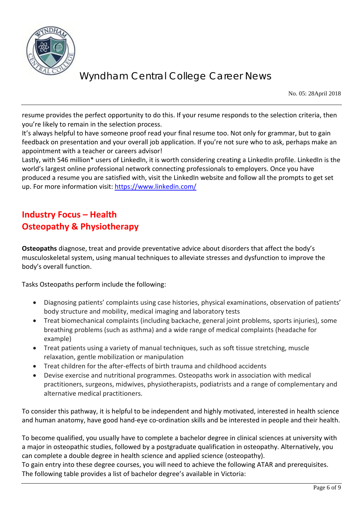

No. 05: 28April 2018

resume provides the perfect opportunity to do this. If your resume responds to the selection criteria, then you're likely to remain in the selection process.

It's always helpful to have someone proof read your final resume too. Not only for grammar, but to gain feedback on presentation and your overall job application. If you're not sure who to ask, perhaps make an appointment with a teacher or careers advisor!

Lastly, with 546 million\* users of LinkedIn, it is worth considering creating a LinkedIn profile. LinkedIn is the world's largest online professional network connecting professionals to employers. Once you have produced a resume you are satisfied with, visit the LinkedIn website and follow all the prompts to get set up. For more information visit:<https://www.linkedin.com/>

# **Industry Focus – Health Osteopathy & Physiotherapy**

**Osteopaths** diagnose, treat and provide preventative advice about disorders that affect the body's musculoskeletal system, using manual techniques to alleviate stresses and dysfunction to improve the body's overall function.

Tasks Osteopaths perform include the following:

- Diagnosing patients' complaints using case histories, physical examinations, observation of patients' body structure and mobility, medical imaging and laboratory tests
- Treat biomechanical complaints (including backache, general joint problems, sports injuries), some breathing problems (such as asthma) and a wide range of medical complaints (headache for example)
- Treat patients using a variety of manual techniques, such as soft tissue stretching, muscle relaxation, gentle mobilization or manipulation
- Treat children for the after-effects of birth trauma and childhood accidents
- Devise exercise and nutritional programmes. Osteopaths work in association with medical practitioners, surgeons, midwives, physiotherapists, podiatrists and a range of complementary and alternative medical practitioners.

To consider this pathway, it is helpful to be independent and highly motivated, interested in health science and human anatomy, have good hand-eye co-ordination skills and be interested in people and their health.

To become qualified, you usually have to complete a bachelor degree in clinical sciences at university with a major in osteopathic studies, followed by a postgraduate qualification in osteopathy. Alternatively, you can complete a double degree in health science and applied science (osteopathy).

To gain entry into these degree courses, you will need to achieve the following ATAR and prerequisites. The following table provides a list of bachelor degree's available in Victoria: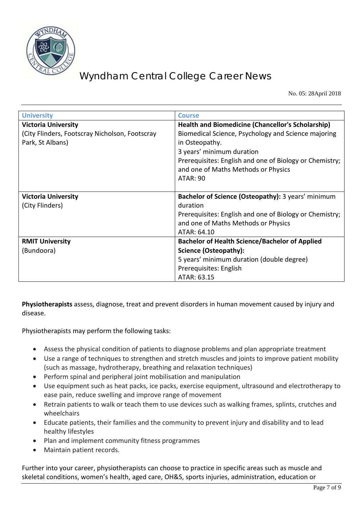

No. 05: 28April 2018

| <b>University</b>                                                  | <b>Course</b>                                                                                                                                                                                                           |
|--------------------------------------------------------------------|-------------------------------------------------------------------------------------------------------------------------------------------------------------------------------------------------------------------------|
| <b>Victoria University</b>                                         | <b>Health and Biomedicine (Chancellor's Scholarship)</b>                                                                                                                                                                |
| (City Flinders, Footscray Nicholson, Footscray<br>Park, St Albans) | Biomedical Science, Psychology and Science majoring<br>in Osteopathy.<br>3 years' minimum duration<br>Prerequisites: English and one of Biology or Chemistry;<br>and one of Maths Methods or Physics<br><b>ATAR: 90</b> |
| <b>Victoria University</b>                                         | Bachelor of Science (Osteopathy): 3 years' minimum                                                                                                                                                                      |
| (City Flinders)                                                    | duration                                                                                                                                                                                                                |
|                                                                    | Prerequisites: English and one of Biology or Chemistry;                                                                                                                                                                 |
|                                                                    | and one of Maths Methods or Physics                                                                                                                                                                                     |
|                                                                    | ATAR: 64.10                                                                                                                                                                                                             |
| <b>RMIT University</b>                                             | <b>Bachelor of Health Science/Bachelor of Applied</b>                                                                                                                                                                   |
| (Bundoora)                                                         | Science (Osteopathy):                                                                                                                                                                                                   |
|                                                                    | 5 years' minimum duration (double degree)                                                                                                                                                                               |
|                                                                    | Prerequisites: English                                                                                                                                                                                                  |
|                                                                    | ATAR: 63.15                                                                                                                                                                                                             |

**Physiotherapists** assess, diagnose, treat and prevent disorders in human movement caused by injury and disease.

Physiotherapists may perform the following tasks:

- Assess the physical condition of patients to diagnose problems and plan appropriate treatment
- Use a range of techniques to strengthen and stretch muscles and joints to improve patient mobility (such as massage, hydrotherapy, breathing and relaxation techniques)
- Perform spinal and peripheral joint mobilisation and manipulation
- Use equipment such as heat packs, ice packs, exercise equipment, ultrasound and electrotherapy to ease pain, reduce swelling and improve range of movement
- Retrain patients to walk or teach them to use devices such as walking frames, splints, crutches and wheelchairs
- Educate patients, their families and the community to prevent injury and disability and to lead healthy lifestyles
- Plan and implement community fitness programmes
- Maintain patient records.

Further into your career, physiotherapists can choose to practice in specific areas such as muscle and skeletal conditions, women's health, aged care, OH&S, sports injuries, administration, education or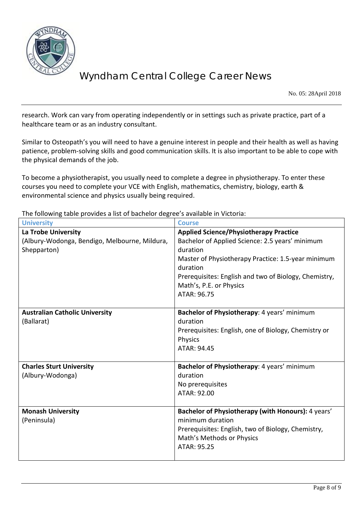

No. 05: 28April 2018

research. Work can vary from operating independently or in settings such as private practice, part of a healthcare team or as an industry consultant.

Similar to Osteopath's you will need to have a genuine interest in people and their health as well as having patience, problem-solving skills and good communication skills. It is also important to be able to cope with the physical demands of the job.

To become a physiotherapist, you usually need to complete a degree in physiotherapy. To enter these courses you need to complete your VCE with English, mathematics, chemistry, biology, earth & environmental science and physics usually being required.

The following table provides a list of bachelor degree's available in Victoria:

| <b>University</b>                                                                   | <b>Course</b>                                                                                                                                                                                                                                                                     |
|-------------------------------------------------------------------------------------|-----------------------------------------------------------------------------------------------------------------------------------------------------------------------------------------------------------------------------------------------------------------------------------|
| La Trobe University<br>(Albury-Wodonga, Bendigo, Melbourne, Mildura,<br>Shepparton) | <b>Applied Science/Physiotherapy Practice</b><br>Bachelor of Applied Science: 2.5 years' minimum<br>duration<br>Master of Physiotherapy Practice: 1.5-year minimum<br>duration<br>Prerequisites: English and two of Biology, Chemistry,<br>Math's, P.E. or Physics<br>ATAR: 96.75 |
| <b>Australian Catholic University</b><br>(Ballarat)                                 | Bachelor of Physiotherapy: 4 years' minimum<br>duration<br>Prerequisites: English, one of Biology, Chemistry or<br><b>Physics</b><br>ATAR: 94.45                                                                                                                                  |
| <b>Charles Sturt University</b><br>(Albury-Wodonga)                                 | Bachelor of Physiotherapy: 4 years' minimum<br>duration<br>No prerequisites<br>ATAR: 92.00                                                                                                                                                                                        |
| <b>Monash University</b><br>(Peninsula)                                             | Bachelor of Physiotherapy (with Honours): 4 years'<br>minimum duration<br>Prerequisites: English, two of Biology, Chemistry,<br>Math's Methods or Physics<br>ATAR: 95.25                                                                                                          |